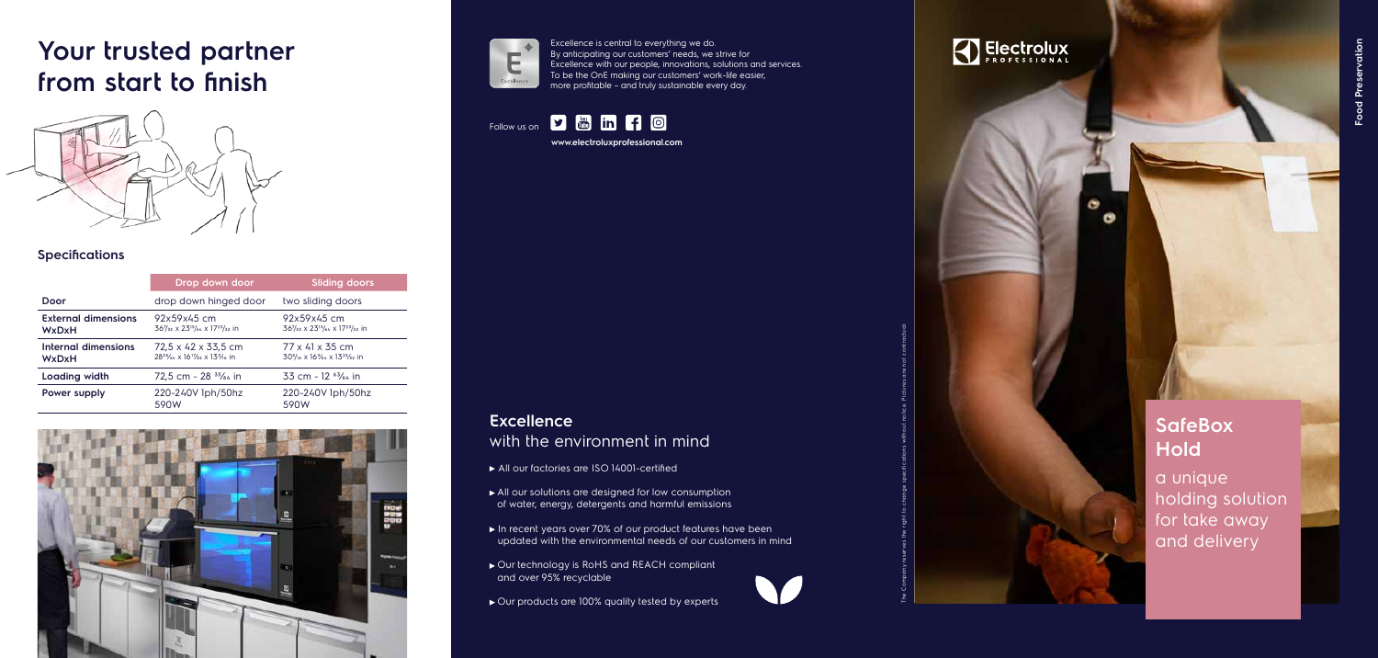#### **SafeBox Hold** a unique holding solution for take away and delivery

# **Your trusted partner from start to finish**



#### **Excellence** with the environment in mind

- All our factories are ISO 14001-certified
- All our solutions are designed for low consumption of water, energy, detergents and harmful emissions
- In recent years over 70% of our product features have been updated with the environmental needs of our customers in mind
- ► Our technology is RoHS and REACH compliant and over 95% recyclable
- ▶ Our products are 100% quality tested by experts

### Electrolux

Excellence is central to everything we do. By anticipating our customers' needs, we strive for Excellence with our people, innovations, solutions and services. To be the OnE making our customers' work-life easier, more profitable – and truly sustainable every day.

Follow us on **y in in f o** 

**www.electroluxprofessional.com**

#### **Speci fications**

|                                            | Drop down door                                                            | <b>Sliding doors</b>                                                                                        |
|--------------------------------------------|---------------------------------------------------------------------------|-------------------------------------------------------------------------------------------------------------|
| Door                                       | drop down hinged door                                                     | two sliding doors                                                                                           |
| <b>External dimensions</b><br><b>WxDxH</b> | 92x59x45 cm<br>367/32 x 2315/64 x 1723/32 in                              | 92x59x45 cm<br>367/32 x 2315/64 x 1723/32 in                                                                |
| Internal dimensions<br><b>WxDxH</b>        | 72,5 x 42 x 33,5 cm<br>$28^{35}/64 \times 16^{17}/32 \times 13^{3}/16$ in | $77 \times 41 \times 35$ cm<br>30 <sup>5</sup> / <sub>16</sub> x 16%4 x 13 <sup>25</sup> / <sub>32</sub> in |
| Loading width                              | 72,5 cm - 28 <sup>35</sup> / <sub>64</sub> in                             | 33 cm - 12 $\frac{63}{64}$ in                                                                               |
| Power supply                               | 220-240V lph/50hz<br>590W                                                 | 220-240V lph/50hz<br>590W                                                                                   |